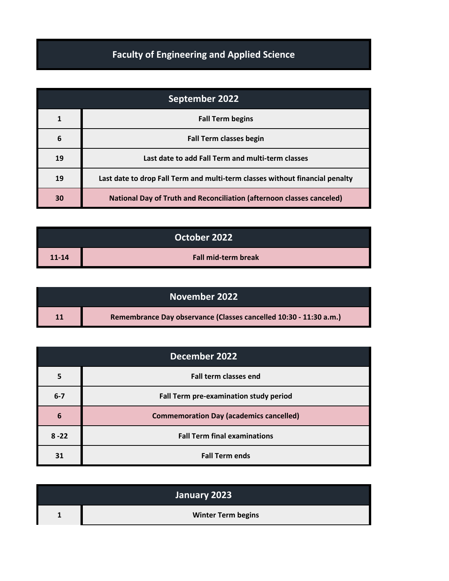## **Faculty of Engineering and Applied Science**

| September 2022 |                                                                              |
|----------------|------------------------------------------------------------------------------|
|                | <b>Fall Term begins</b>                                                      |
| 6              | <b>Fall Term classes begin</b>                                               |
| 19             | Last date to add Fall Term and multi-term classes                            |
| 19             | Last date to drop Fall Term and multi-term classes without financial penalty |
| 30             | <b>National Day of Truth and Reconciliation (afternoon classes canceled)</b> |

| October 2022 |                            |
|--------------|----------------------------|
| $11 - 14$    | <b>Fall mid-term break</b> |

|    | November 2022                                                     |
|----|-------------------------------------------------------------------|
| 11 | Remembrance Day observance (Classes cancelled 10:30 - 11:30 a.m.) |

| December 2022 |                                                |
|---------------|------------------------------------------------|
|               | <b>Fall term classes end</b>                   |
| $6 - 7$       | Fall Term pre-examination study period         |
| 6             | <b>Commemoration Day (academics cancelled)</b> |
| $8 - 22$      | <b>Fall Term final examinations</b>            |
| 31            | <b>Fall Term ends</b>                          |

| January 2023 |                           |
|--------------|---------------------------|
|              | <b>Winter Term begins</b> |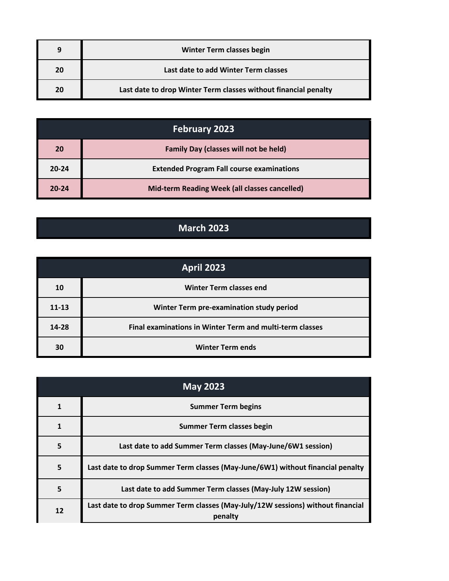| q  | <b>Winter Term classes begin</b>                                |
|----|-----------------------------------------------------------------|
| 20 | Last date to add Winter Term classes                            |
| 20 | Last date to drop Winter Term classes without financial penalty |

| <b>February 2023</b> |                                                  |
|----------------------|--------------------------------------------------|
| 20                   | <b>Family Day (classes will not be held)</b>     |
| $20 - 24$            | <b>Extended Program Fall course examinations</b> |
| $20 - 24$            | Mid-term Reading Week (all classes cancelled)    |

## **March 2023**

| April 2023 |                                                                 |
|------------|-----------------------------------------------------------------|
| 10         | <b>Winter Term classes end</b>                                  |
| $11 - 13$  | Winter Term pre-examination study period                        |
| 14-28      | <b>Final examinations in Winter Term and multi-term classes</b> |
| 30         | <b>Winter Term ends</b>                                         |

| <b>May 2023</b> |                                                                                            |
|-----------------|--------------------------------------------------------------------------------------------|
|                 | <b>Summer Term begins</b>                                                                  |
|                 | <b>Summer Term classes begin</b>                                                           |
| 5               | Last date to add Summer Term classes (May-June/6W1 session)                                |
| 5               | Last date to drop Summer Term classes (May-June/6W1) without financial penalty             |
| 5               | Last date to add Summer Term classes (May-July 12W session)                                |
| 12              | Last date to drop Summer Term classes (May-July/12W sessions) without financial<br>penalty |